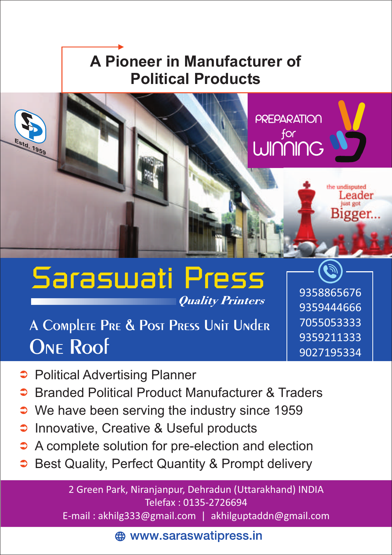#### **A Pioneer in Manufacturer of Political Products**



### Saraswati Press **Quality Printers**

## A COMPLETE PRE & POST PRESS UNIT UNDER **ONE Roof**

- **Political Advertising Planner**
- **Branded Political Product Manufacturer & Traders**
- $\supset$  We have been serving the industry since 1959
- **C** Innovative, Creative & Useful products
- A complete solution for pre-election and election
- Best Quality, Perfect Quantity & Prompt delivery  $\bullet$

2 Green Park, Niranjanpur, Dehradun (Uttarakhand) INDIA Telefax : 0135-2726694

E-mail : akhilg333@gmail.com | akhilguptaddn@gmail.com

**A** www.saraswatipress.in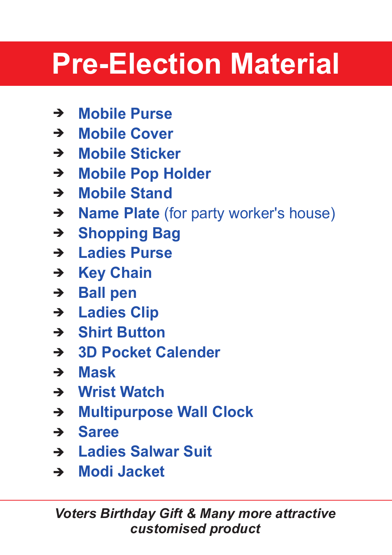# **Pre-Election Material**

- **Mobile Purse** è
- → Mobile Cover
- → Mobile Sticker
- **→ Mobile Pop Holder**
- **Mobile Stand** è
- → **Name Plate** (for party worker's house)
- **Shopping Bag** è
- **Ladies Purse** è
- **→ Key Chain**
- **Ball pen** è
- **Ladies Clip** è
- **Shirt Button** è
- **3D Pocket Calender** è
- **Mask** è
- **Wrist Watch** è
- **→ Multipurpose Wall Clock**
- **Saree** è
- **Ladies Salwar Suit** è
- **Modi Jacket** è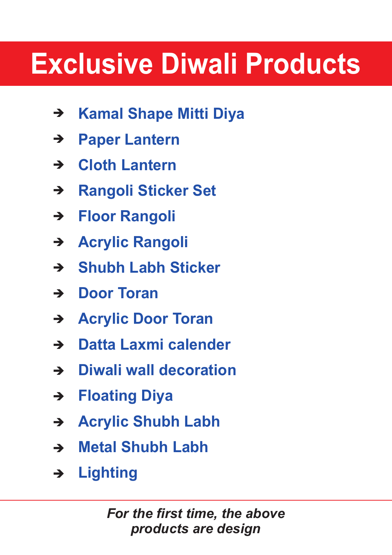## **Exclusive Diwali Products**

- **Kamal Shape Mitti Diya** è
- **Paper Lantern**  $\rightarrow$
- **Cloth Lantern** è
- **Rangoli Sticker Set**  $\rightarrow$
- **Floor Rangoli**  $\rightarrow$
- **Acrylic Rangoli** è
- **Shubh Labh Sticker** è
- **→ Door Toran**
- **Acrylic Door Toran** è
- **Datta Laxmi calender** è
- **Diwali wall decoration** è
- **Floating Diya** è
- **Acrylic Shubh Labh** è
- **Metal Shubh Labh**  $\rightarrow$
- **Lighting**  $\rightarrow$

*For the first time, the above products are design*